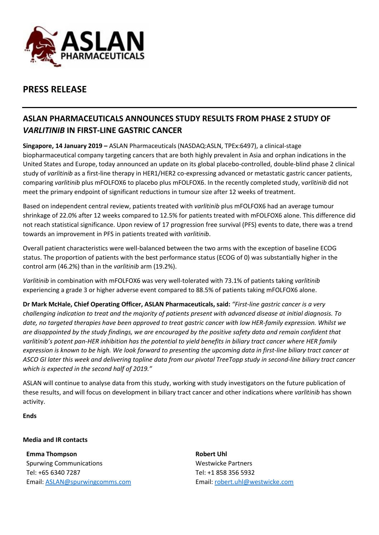

# **PRESS RELEASE**

## **ASLAN PHARMACEUTICALS ANNOUNCES STUDY RESULTS FROM PHASE 2 STUDY OF**  *VARLITINIB* **IN FIRST-LINE GASTRIC CANCER**

**Singapore, 14 January 2019 –** ASLAN Pharmaceuticals (NASDAQ:ASLN, TPEx:6497), a clinical-stage biopharmaceutical company targeting cancers that are both highly prevalent in Asia and orphan indications in the United States and Europe, today announced an update on its global placebo-controlled, double-blind phase 2 clinical study of *varlitinib* as a first-line therapy in HER1/HER2 co-expressing advanced or metastatic gastric cancer patients, comparing *varlitinib* plus mFOLFOX6 to placebo plus mFOLFOX6. In the recently completed study, v*arlitinib* did not meet the primary endpoint of significant reductions in tumour size after 12 weeks of treatment.

Based on independent central review, patients treated with *varlitinib* plus mFOLFOX6 had an average tumour shrinkage of 22.0% after 12 weeks compared to 12.5% for patients treated with mFOLFOX6 alone. This difference did not reach statistical significance. Upon review of 17 progression free survival (PFS) events to date, there was a trend towards an improvement in PFS in patients treated with *varlitinib*.

Overall patient characteristics were well-balanced between the two arms with the exception of baseline ECOG status. The proportion of patients with the best performance status (ECOG of 0) was substantially higher in the control arm (46.2%) than in the *varlitinib* arm (19.2%).

*Varlitinib* in combination with mFOLFOX6 was very well-tolerated with 73.1% of patients taking *varlitinib* experiencing a grade 3 or higher adverse event compared to 88.5% of patients taking mFOLFOX6 alone.

**Dr Mark McHale, Chief Operating Officer, ASLAN Pharmaceuticals, said:** *"First-line gastric cancer is a very challenging indication to treat and the majority of patients present with advanced disease at initial diagnosis. To date, no targeted therapies have been approved to treat gastric cancer with low HER-family expression. Whilst we are disappointed by the study findings, we are encouraged by the positive safety data and remain confident that varlitinib's potent pan-HER inhibition has the potential to yield benefits in biliary tract cancer where HER family expression is known to be high. We look forward to presenting the upcoming data in first-line biliary tract cancer at ASCO GI later this week and delivering topline data from our pivotal TreeTopp study in second-line biliary tract cancer which is expected in the second half of 2019."*

ASLAN will continue to analyse data from this study, working with study investigators on the future publication of these results, and will focus on development in biliary tract cancer and other indications where *varlitinib* has shown activity.

**Ends**

### **Media and IR contacts**

**Emma Thompson** Spurwing Communications Tel: +65 6340 7287 Email: [ASLAN@spurwingcomms.com](mailto:ASLAN@spurwingcomms.com) **Robert Uhl** Westwicke Partners Tel: +1 858 356 5932 Email: [robert.uhl@westwicke.com](mailto:robert.uhl@westwicke.com)